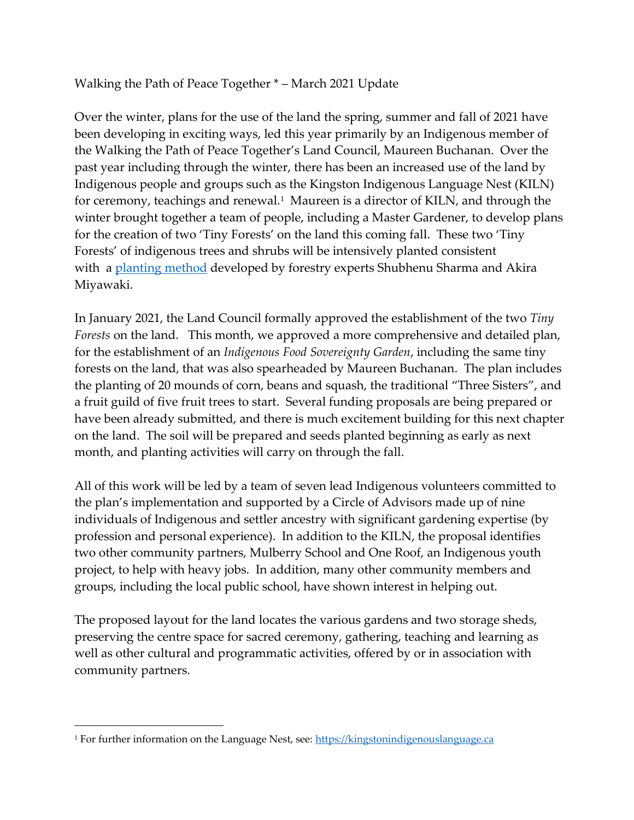Walking the Path of Peace Together \* – March 2021 Update

Over the winter, plans for the use of the land the spring, summer and fall of 2021 have been developing in exciting ways, led this year primarily by an Indigenous member of the Walking the Path of Peace Together's Land Council, Maureen Buchanan. Over the past year including through the winter, there has been an increased use of the land by Indigenous people and groups such as the Kingston Indigenous Language Nest (KILN) for ceremony, teachings and renewal. $^1$  Maureen is a director of KILN, and through the winter brought together a team of people, including a Master Gardener, to develop plans for the creation of two 'Tiny Forests' on the land this coming fall. These two 'Tiny Forests' of indigenous trees and shrubs will be intensively planted consistent with a [planting method](https://can01.safelinks.protection.outlook.com/?url=https%3A%2F%2Fwww.afforestt.com%2Fmethodology&data=04%7C01%7Cfreemanl%40queensu.ca%7C5b73cf46288d4dafd4bb08d8e4c50bb0%7Cd61ecb3b38b142d582c4efb2838b925c%7C1%7C0%7C637510882262063185%7CUnknown%7CTWFpbGZsb3d8eyJWIjoiMC4wLjAwMDAiLCJQIjoiV2luMzIiLCJBTiI6Ik1haWwiLCJXVCI6Mn0%3D%7C1000&sdata=0fhSPK1tAk329c7LMX2Uw6CibjFGR5YAwT%2B8oN01LzY%3D&reserved=0) developed by forestry experts Shubhenu Sharma and Akira Miyawaki.

In January 2021, the Land Council formally approved the establishment of the two *Tiny Forests* on the land. This month, we approved a more comprehensive and detailed plan, for the establishment of an *Indigenous Food Sovereignty Garden*, including the same tiny forests on the land, that was also spearheaded by Maureen Buchanan. The plan includes the planting of 20 mounds of corn, beans and squash, the traditional "Three Sisters", and a fruit guild of five fruit trees to start. Several funding proposals are being prepared or have been already submitted, and there is much excitement building for this next chapter on the land. The soil will be prepared and seeds planted beginning as early as next month, and planting activities will carry on through the fall.

All of this work will be led by a team of seven lead Indigenous volunteers committed to the plan's implementation and supported by a Circle of Advisors made up of nine individuals of Indigenous and settler ancestry with significant gardening expertise (by profession and personal experience). In addition to the KILN, the proposal identifies two other community partners, Mulberry School and One Roof, an Indigenous youth project, to help with heavy jobs. In addition, many other community members and groups, including the local public school, have shown interest in helping out.

The proposed layout for the land locates the various gardens and two storage sheds, preserving the centre space for sacred ceremony, gathering, teaching and learning as well as other cultural and programmatic activities, offered by or in association with community partners.

 $\overline{a}$ 

<sup>&</sup>lt;sup>1</sup> For further information on the Language Nest, see: [https://kingstonindigenouslanguage.ca](https://kingstonindigenouslanguage.ca/)